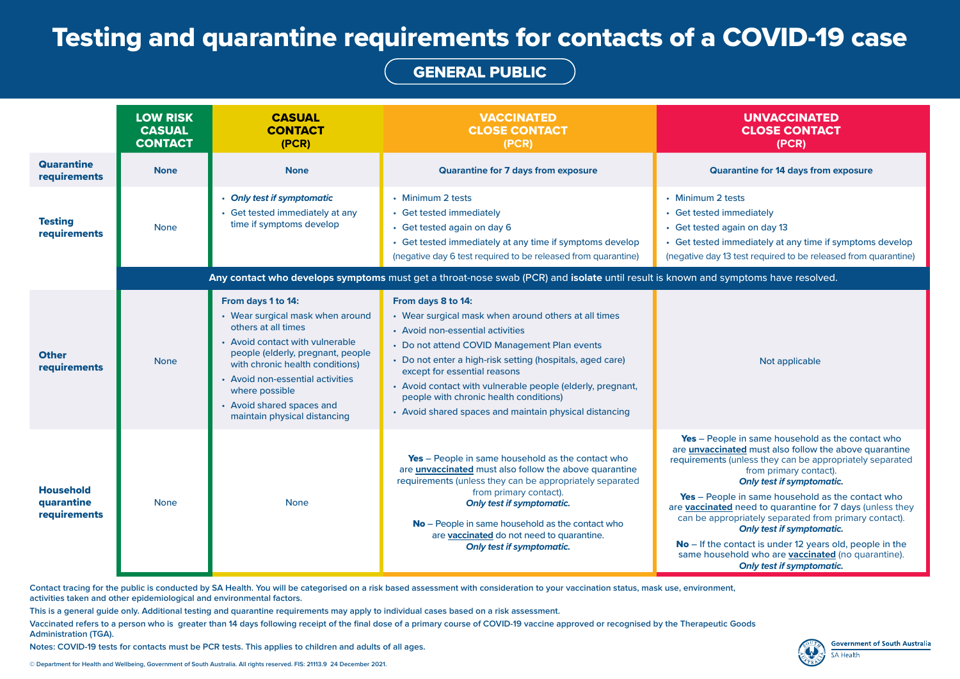**Contact tracing for the public is conducted by SA Health. You will be categorised on a risk based assessment with consideration to your vaccination status, mask use, environment, activities taken and other epidemiological and environmental factors.** 

**This is a general guide only. Additional testing and quarantine requirements may apply to individual cases based on a risk assessment.**

**Vaccinated refers to a person who is greater than 14 days following receipt of the final dose of a primary course of COVID-19 vaccine approved or recognised by the Therapeutic Goods Administration (TGA).**

**Notes: COVID-19 tests for contacts must be PCR tests. This applies to children and adults of all ages.**

## UNVACCINATED CLOSE CONTACT **(PCR)**

- tests
- mmediately
- **gain on day 13**
- mmediately at any time if symptoms develop
- 3 test required to be released from quarantine)

ble in same household as the contact who ated must also follow the above quarantine i (unless they can be appropriately separated from primary contact). *Only test if symptomatic.*

ble in same household as the contact who **d** need to quarantine for 7 days (unless they ropriately separated from primary contact). *Only test if symptomatic.*

contact is under 12 years old, people in the ehold who are **vaccinated** (no quarantine). *Only test if symptomatic.*



|                                                       | <b>LOW RISK</b><br><b>CASUAL</b><br><b>CONTACT</b> | <b>CASUAL</b><br><b>CONTACT</b><br>(PCR)                                                                                                                                                                                                                                                                    | <b>VACCINATED</b><br><b>CLOSE CONTACT</b><br>(PCR)                                                                                                                                                                                                                                                                                                                                                                            | <b>UNVACCINATED</b><br><b>CLOSE CONTACT</b><br>(PCR)                                                                                                                                                                                                                                                                                                                                                                                                                                                                                                             |
|-------------------------------------------------------|----------------------------------------------------|-------------------------------------------------------------------------------------------------------------------------------------------------------------------------------------------------------------------------------------------------------------------------------------------------------------|-------------------------------------------------------------------------------------------------------------------------------------------------------------------------------------------------------------------------------------------------------------------------------------------------------------------------------------------------------------------------------------------------------------------------------|------------------------------------------------------------------------------------------------------------------------------------------------------------------------------------------------------------------------------------------------------------------------------------------------------------------------------------------------------------------------------------------------------------------------------------------------------------------------------------------------------------------------------------------------------------------|
| <b>Quarantine</b><br>requirements                     | <b>None</b>                                        | <b>None</b>                                                                                                                                                                                                                                                                                                 | <b>Quarantine for 7 days from exposure</b>                                                                                                                                                                                                                                                                                                                                                                                    | <b>Quarantine for 14 days from exposure</b>                                                                                                                                                                                                                                                                                                                                                                                                                                                                                                                      |
| <b>Testing</b><br>requirements                        | <b>None</b>                                        | • Only test if symptomatic<br>• Get tested immediately at any<br>time if symptoms develop                                                                                                                                                                                                                   | • Minimum 2 tests<br>• Get tested immediately<br>• Get tested again on day 6<br>• Get tested immediately at any time if symptoms develop<br>(negative day 6 test required to be released from quarantine)                                                                                                                                                                                                                     | • Minimum 2 tests<br><b>Get tested immediately</b><br>Get tested again on day 13<br>Get tested immediately at any time if symptom<br>(negative day 13 test required to be released from on                                                                                                                                                                                                                                                                                                                                                                       |
|                                                       |                                                    |                                                                                                                                                                                                                                                                                                             | Any contact who develops symptoms must get a throat-nose swab (PCR) and isolate until result is known and symptoms have resolved.                                                                                                                                                                                                                                                                                             |                                                                                                                                                                                                                                                                                                                                                                                                                                                                                                                                                                  |
| <b>Other</b><br>requirements                          | <b>None</b>                                        | From days 1 to 14:<br>• Wear surgical mask when around<br>others at all times<br>• Avoid contact with vulnerable<br>people (elderly, pregnant, people<br>with chronic health conditions)<br>• Avoid non-essential activities<br>where possible<br>• Avoid shared spaces and<br>maintain physical distancing | From days 8 to 14:<br>• Wear surgical mask when around others at all times<br>• Avoid non-essential activities<br>• Do not attend COVID Management Plan events<br>• Do not enter a high-risk setting (hospitals, aged care)<br>except for essential reasons<br>• Avoid contact with vulnerable people (elderly, pregnant,<br>people with chronic health conditions)<br>• Avoid shared spaces and maintain physical distancing | Not applicable                                                                                                                                                                                                                                                                                                                                                                                                                                                                                                                                                   |
| <b>Household</b><br>quarantine<br><b>requirements</b> | <b>None</b>                                        | <b>None</b>                                                                                                                                                                                                                                                                                                 | Yes - People in same household as the contact who<br>are <b>unvaccinated</b> must also follow the above quarantine<br>requirements (unless they can be appropriately separated<br>from primary contact).<br><b>Only test if symptomatic.</b><br>No - People in same household as the contact who<br>are vaccinated do not need to quarantine.<br><b>Only test if symptomatic.</b>                                             | Yes - People in same household as the conta<br>are <i>unvaccinated</i> must also follow the above qu<br>requirements (unless they can be appropriately s<br>from primary contact).<br><b>Only test if symptomatic.</b><br>Yes - People in same household as the conta<br>are <b>vaccinated</b> need to quarantine for 7 days (u<br>can be appropriately separated from primary o<br><b>Only test if symptomatic.</b><br>No – If the contact is under 12 years old, peop<br>same household who are <b>vaccinated</b> (no qual<br><b>Only test if symptomatic.</b> |

## Testing and quarantine requirements for contacts of a COVID-19 case

## GENERAL PUBLIC